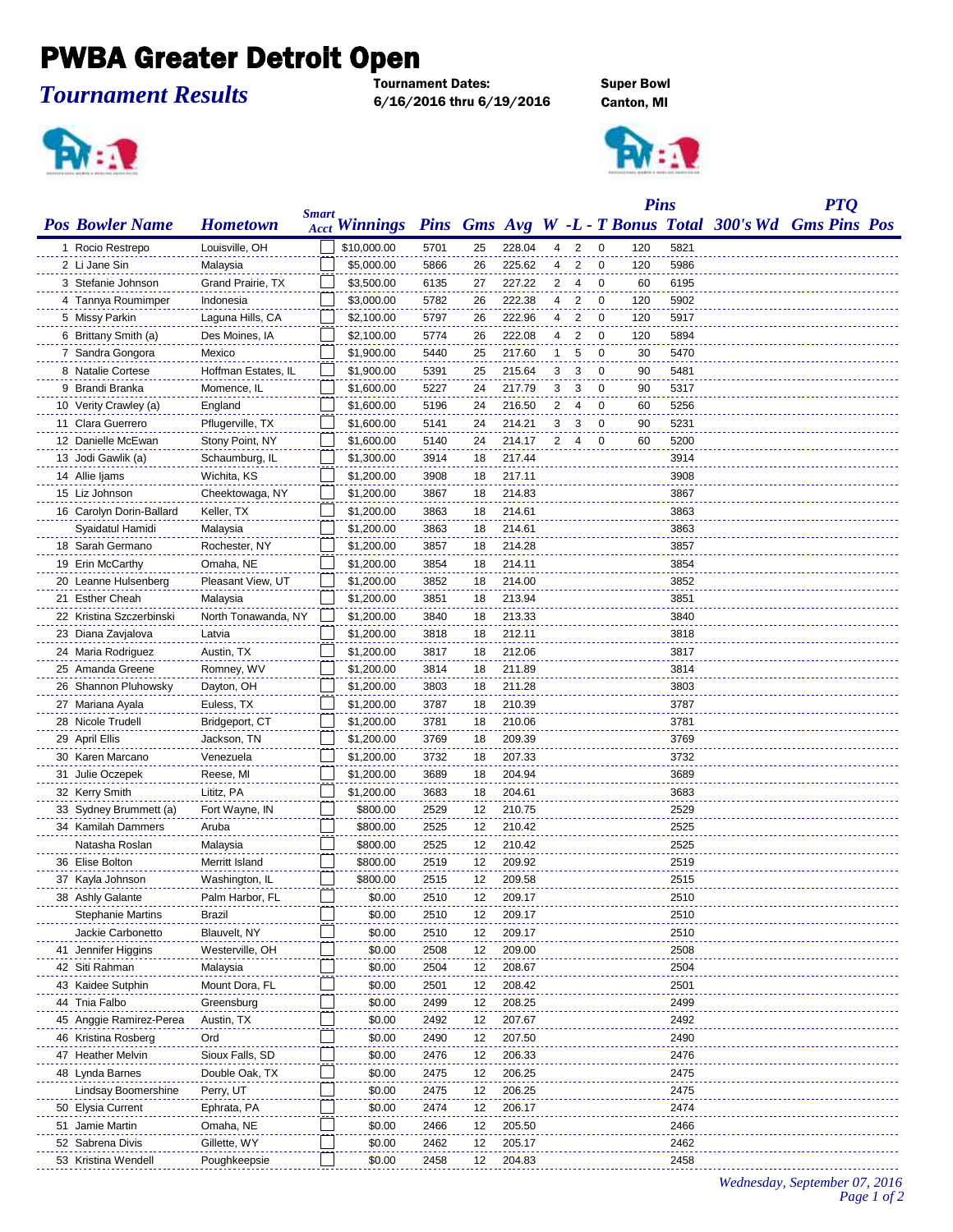## PWBA Greater Detroit Open

## *Tournament Results*

Tournament Dates: Super Bowl 6/16/2016 thru 6/19/2016 Canton, MI





|                          |                     | <b>Smart</b> |                      |      |    |        |   |                |             | <b>Pins</b> |      |                                                         | <b>PTQ</b> |  |  |  |
|--------------------------|---------------------|--------------|----------------------|------|----|--------|---|----------------|-------------|-------------|------|---------------------------------------------------------|------------|--|--|--|
| <b>Pos Bowler Name</b>   | <b>Hometown</b>     |              | <b>Acct Winnings</b> |      |    |        |   |                |             |             |      | Pins Gms Avg W -L - T Bonus Total 300's Wd Gms Pins Pos |            |  |  |  |
| 1 Rocio Restrepo         | Louisville, OH      |              | \$10,000.00          | 5701 | 25 | 228.04 | 4 | 2              | 0           | 120         | 5821 |                                                         |            |  |  |  |
| 2 Li Jane Sin            | Malaysia            |              | \$5,000.00           | 5866 | 26 | 225.62 | 4 | 2              | 0           | 120         | 5986 |                                                         |            |  |  |  |
| 3 Stefanie Johnson       | Grand Prairie, TX   |              | \$3,500.00           | 6135 | 27 | 227.22 | 2 | 4              | 0           | 60          | 6195 |                                                         |            |  |  |  |
| 4 Tannya Roumimper       | Indonesia           |              | \$3,000.00           | 5782 | 26 | 222.38 | 4 | 2              | 0           | 120         | 5902 |                                                         |            |  |  |  |
| 5 Missy Parkin           | Laguna Hills, CA    |              | \$2,100.00           | 5797 | 26 | 222.96 | 4 | 2              | $\mathbf 0$ | 120         | 5917 |                                                         |            |  |  |  |
| 6 Brittany Smith (a)     | Des Moines, IA      |              | \$2,100.00           | 5774 | 26 | 222.08 | 4 | $\overline{2}$ | $\mathbf 0$ | 120         | 5894 |                                                         |            |  |  |  |
| 7 Sandra Gongora         | Mexico              |              | \$1,900.00           | 5440 | 25 | 217.60 | 1 | 5              | 0           | 30          | 5470 |                                                         |            |  |  |  |
| 8 Natalie Cortese        | Hoffman Estates, IL |              | \$1,900.00           | 5391 | 25 | 215.64 | 3 | 3              | 0           | 90          | 5481 |                                                         |            |  |  |  |
| 9 Brandi Branka          | Momence, IL         |              | \$1,600.00           | 5227 | 24 | 217.79 | 3 | 3              | 0           | 90          | 5317 |                                                         |            |  |  |  |
| 10 Verity Crawley (a)    | England             |              | \$1,600.00           | 5196 | 24 | 216.50 | 2 | 4              | 0           | 60          | 5256 |                                                         |            |  |  |  |
| 11 Clara Guerrero        | Pflugerville, TX    |              | \$1,600.00           | 5141 | 24 | 214.21 | 3 | 3              | 0           | 90          | 5231 |                                                         |            |  |  |  |
| 12 Danielle McEwan       | Stony Point, NY     |              | \$1,600.00           | 5140 | 24 | 214.17 | 2 | $\overline{4}$ | 0           | 60          | 5200 |                                                         |            |  |  |  |
| 13 Jodi Gawlik (a)       | Schaumburg, IL      |              | \$1,300.00           | 3914 | 18 | 217.44 |   |                |             |             | 3914 |                                                         |            |  |  |  |
| 14 Allie Ijams           | Wichita, KS         |              | \$1,200.00           | 3908 | 18 | 217.11 |   |                |             |             | 3908 |                                                         |            |  |  |  |
| 15 Liz Johnson           | Cheektowaga, NY     |              | \$1,200.00           | 3867 | 18 | 214.83 |   |                |             |             | 3867 |                                                         |            |  |  |  |
| 16 Carolyn Dorin-Ballard | Keller, TX          |              | \$1,200.00           | 3863 | 18 | 214.61 |   |                |             |             | 3863 |                                                         |            |  |  |  |
| Syaidatul Hamidi         | Malaysia            |              | \$1,200.00           | 3863 | 18 | 214.61 |   |                |             |             | 3863 |                                                         |            |  |  |  |
| 18 Sarah Germano         | Rochester, NY       |              | \$1,200.00           | 3857 | 18 | 214.28 |   |                |             |             | 3857 |                                                         |            |  |  |  |
| 19 Erin McCarthy         | Omaha, NE           |              | \$1,200.00           | 3854 | 18 | 214.11 |   |                |             |             | 3854 |                                                         |            |  |  |  |
| 20 Leanne Hulsenberg     | Pleasant View, UT   |              | \$1,200.00           | 3852 | 18 | 214.00 |   |                |             |             | 3852 |                                                         |            |  |  |  |
| 21 Esther Cheah          | Malaysia            |              | \$1,200.00           | 3851 | 18 | 213.94 |   |                |             |             | 3851 |                                                         |            |  |  |  |
| 22 Kristina Szczerbinski | North Tonawanda, NY |              | \$1,200.00           | 3840 | 18 | 213.33 |   |                |             |             | 3840 |                                                         |            |  |  |  |
| 23 Diana Zavjalova       | Latvia              |              | \$1,200.00           | 3818 | 18 | 212.11 |   |                |             |             | 3818 |                                                         |            |  |  |  |
| 24 Maria Rodriguez       | Austin, TX          |              | \$1,200.00           | 3817 | 18 | 212.06 |   |                |             |             | 3817 |                                                         |            |  |  |  |
| 25 Amanda Greene         | Romney, WV          |              | \$1,200.00           | 3814 | 18 | 211.89 |   |                |             |             | 3814 |                                                         |            |  |  |  |
| 26 Shannon Pluhowsky     | Dayton, OH          |              | \$1,200.00           | 3803 | 18 | 211.28 |   |                |             |             | 3803 |                                                         |            |  |  |  |
| 27 Mariana Ayala         | Euless, TX          |              | \$1,200.00           | 3787 | 18 | 210.39 |   |                |             |             | 3787 |                                                         |            |  |  |  |
| 28 Nicole Trudell        | Bridgeport, CT      |              | \$1,200.00           | 3781 | 18 | 210.06 |   |                |             |             | 3781 |                                                         |            |  |  |  |
| 29 April Ellis           | Jackson, TN         |              | \$1,200.00           | 3769 | 18 | 209.39 |   |                |             |             | 3769 |                                                         |            |  |  |  |
| 30 Karen Marcano         | Venezuela           |              | \$1,200.00           | 3732 | 18 | 207.33 |   |                |             |             | 3732 |                                                         |            |  |  |  |
| 31 Julie Oczepek         | Reese, MI           |              | \$1,200.00           | 3689 | 18 | 204.94 |   |                |             |             | 3689 |                                                         |            |  |  |  |
| 32 Kerry Smith           | Lititz, PA          |              | \$1,200.00           | 3683 | 18 | 204.61 |   |                |             |             | 3683 |                                                         |            |  |  |  |
| 33 Sydney Brummett (a)   | Fort Wayne, IN      |              | \$800.00             | 2529 | 12 | 210.75 |   |                |             |             | 2529 |                                                         |            |  |  |  |
| 34 Kamilah Dammers       | Aruba               |              | \$800.00             | 2525 | 12 | 210.42 |   |                |             |             | 2525 |                                                         |            |  |  |  |
| Natasha Roslan           | Malaysia            |              | \$800.00             | 2525 | 12 | 210.42 |   |                |             |             | 2525 |                                                         |            |  |  |  |
| 36 Elise Bolton          | Merritt Island      |              | \$800.00             | 2519 | 12 | 209.92 |   |                |             |             | 2519 |                                                         |            |  |  |  |
| 37 Kayla Johnson         | Washington, IL      |              | \$800.00             | 2515 | 12 | 209.58 |   |                |             |             | 2515 |                                                         |            |  |  |  |
| 38 Ashly Galante         | Palm Harbor, FL     |              | \$0.00               | 2510 | 12 | 209.17 |   |                |             |             | 2510 |                                                         |            |  |  |  |
| <b>Stephanie Martins</b> | Brazil              |              | \$0.00               | 2510 | 12 | 209.17 |   |                |             |             | 2510 |                                                         |            |  |  |  |
| Jackie Carbonetto        | Blauvelt, NY        |              | \$0.00               | 2510 | 12 | 209.17 |   |                |             |             | 2510 |                                                         |            |  |  |  |
| 41 Jennifer Higgins      | Westerville, OH     |              | \$0.00               | 2508 | 12 | 209.00 |   |                |             |             | 2508 |                                                         |            |  |  |  |
| 42 Siti Rahman           | Malaysia            |              | \$0.00               | 2504 | 12 | 208.67 |   |                |             |             | 2504 |                                                         |            |  |  |  |
| 43 Kaidee Sutphin        | Mount Dora, FL      |              | \$0.00               | 2501 | 12 | 208.42 |   |                |             |             | 2501 |                                                         |            |  |  |  |
| 44 Tnia Falbo            | Greensburg          |              | \$0.00               | 2499 | 12 | 208.25 |   |                |             |             | 2499 |                                                         |            |  |  |  |
| 45 Anggie Ramirez-Perea  | Austin, TX          |              | \$0.00               | 2492 | 12 | 207.67 |   |                |             |             | 2492 |                                                         |            |  |  |  |
| 46 Kristina Rosberg      | Ord                 |              | \$0.00               | 2490 | 12 | 207.50 |   |                |             |             | 2490 |                                                         |            |  |  |  |
| 47 Heather Melvin        | Sioux Falls, SD     |              | \$0.00               | 2476 | 12 | 206.33 |   |                |             |             | 2476 |                                                         |            |  |  |  |
| 48 Lynda Barnes          | Double Oak, TX      |              | \$0.00               | 2475 | 12 | 206.25 |   |                |             |             | 2475 |                                                         |            |  |  |  |
| Lindsay Boomershine      | Perry, UT           |              | \$0.00               | 2475 | 12 | 206.25 |   |                |             |             | 2475 |                                                         |            |  |  |  |
| 50 Elysia Current        | Ephrata, PA         |              | \$0.00               | 2474 | 12 | 206.17 |   |                |             |             | 2474 |                                                         |            |  |  |  |
| 51 Jamie Martin          | Omaha, NE           |              | \$0.00               | 2466 | 12 | 205.50 |   |                |             |             | 2466 |                                                         |            |  |  |  |
| 52 Sabrena Divis         | Gillette, WY        |              | \$0.00               | 2462 | 12 | 205.17 |   |                |             |             | 2462 |                                                         |            |  |  |  |
| 53 Kristina Wendell      | Poughkeepsie        |              | \$0.00               | 2458 | 12 | 204.83 |   |                |             |             | 2458 |                                                         |            |  |  |  |